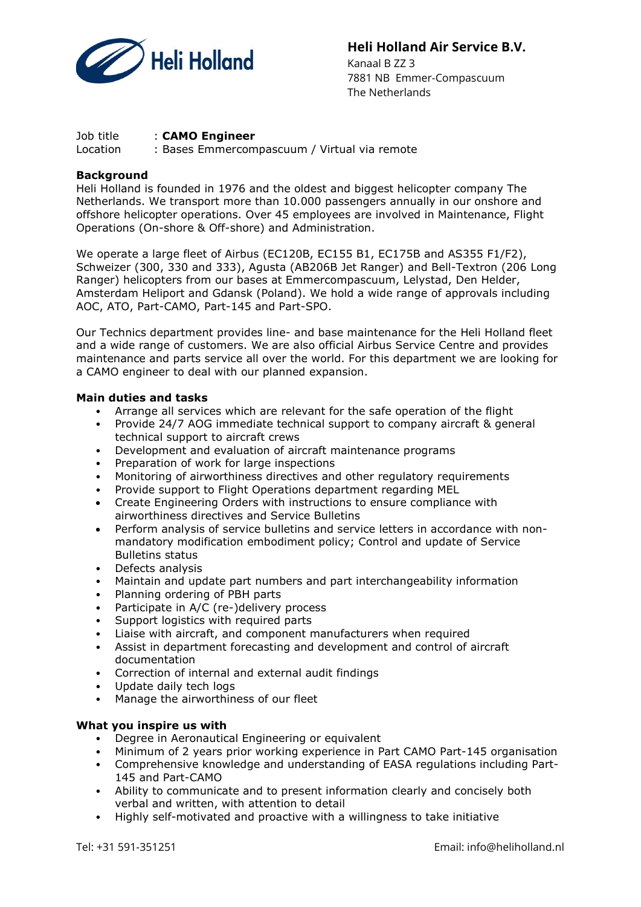

# Heli Holland Air Service B.V.

 Kanaal B ZZ 3 7881 NB Emmer-Compascuum The Netherlands

#### Job title : **CAMO Engineer**

Location : Bases Emmercompascuum / Virtual via remote

## **Background**

Heli Holland is founded in 1976 and the oldest and biggest helicopter company The Netherlands. We transport more than 10.000 passengers annually in our onshore and offshore helicopter operations. Over 45 employees are involved in Maintenance, Flight Operations (On-shore & Off-shore) and Administration.

We operate a large fleet of Airbus (EC120B, EC155 B1, EC175B and AS355 F1/F2), Schweizer (300, 330 and 333), Agusta (AB206B Jet Ranger) and Bell-Textron (206 Long Ranger) helicopters from our bases at Emmercompascuum, Lelystad, Den Helder, Amsterdam Heliport and Gdansk (Poland). We hold a wide range of approvals including AOC, ATO, Part-CAMO, Part-145 and Part-SPO.

Our Technics department provides line- and base maintenance for the Heli Holland fleet and a wide range of customers. We are also official Airbus Service Centre and provides maintenance and parts service all over the world. For this department we are looking for a CAMO engineer to deal with our planned expansion.

## Main duties and tasks

- Arrange all services which are relevant for the safe operation of the flight
- Provide 24/7 AOG immediate technical support to company aircraft & general technical support to aircraft crews
- Development and evaluation of aircraft maintenance programs
- Preparation of work for large inspections
- Monitoring of airworthiness directives and other regulatory requirements
- Provide support to Flight Operations department regarding MEL
- Create Engineering Orders with instructions to ensure compliance with airworthiness directives and Service Bulletins
- Perform analysis of service bulletins and service letters in accordance with nonmandatory modification embodiment policy; Control and update of Service Bulletins status
- Defects analysis
- Maintain and update part numbers and part interchangeability information
- Planning ordering of PBH parts
- Participate in A/C (re-)delivery process
- Support logistics with required parts
- Liaise with aircraft, and component manufacturers when required
- Assist in department forecasting and development and control of aircraft documentation
- Correction of internal and external audit findings
- Update daily tech logs
- Manage the airworthiness of our fleet

## What you inspire us with

- Degree in Aeronautical Engineering or equivalent
- Minimum of 2 years prior working experience in Part CAMO Part-145 organisation
- Comprehensive knowledge and understanding of EASA regulations including Part-145 and Part-CAMO
- Ability to communicate and to present information clearly and concisely both verbal and written, with attention to detail
- Highly self-motivated and proactive with a willingness to take initiative